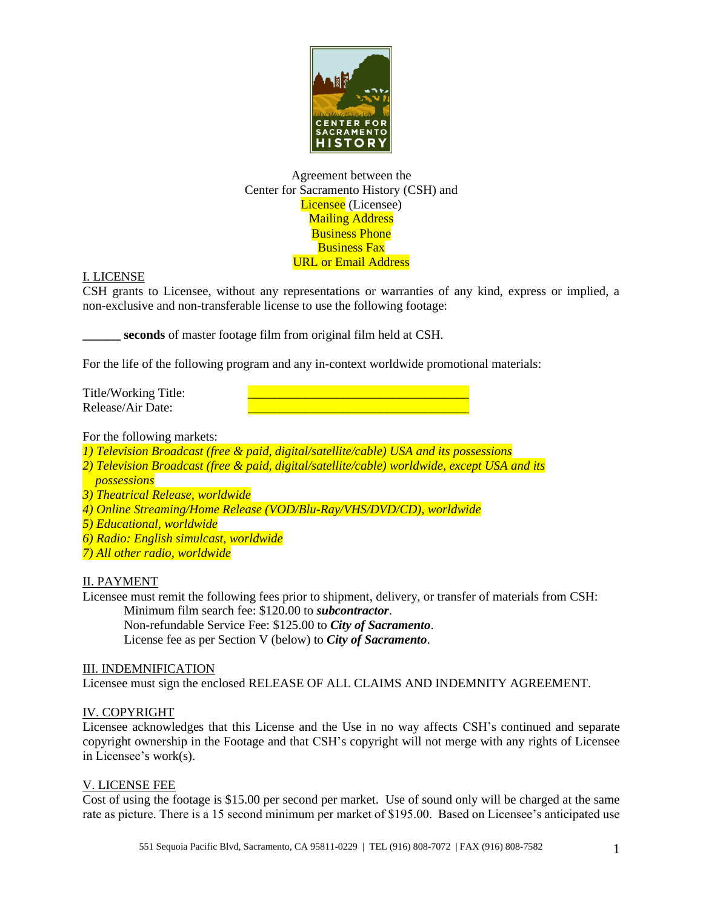

## Agreement between the Center for Sacramento History (CSH) and Licensee (Licensee) **Mailing Address** Business Phone Business Fax URL or Email Address

## I. LICENSE

CSH grants to Licensee, without any representations or warranties of any kind, express or implied, a non-exclusive and non-transferable license to use the following footage:

**\_\_\_\_\_\_ seconds** of master footage film from original film held at CSH.

For the life of the following program and any in-context worldwide promotional materials:

Title/Working Title: Release/Air Date:

For the following markets:

*1) Television Broadcast (free & paid, digital/satellite/cable) USA and its possessions*

- *2) Television Broadcast (free & paid, digital/satellite/cable) worldwide, except USA and its*
- *possessions*

*3) Theatrical Release, worldwide*

*4) Online Streaming/Home Release (VOD/Blu-Ray/VHS/DVD/CD), worldwide*

- *5) Educational, worldwide*
- *6) Radio: English simulcast, worldwide*
- *7) All other radio, worldwide*

## II. PAYMENT

Licensee must remit the following fees prior to shipment, delivery, or transfer of materials from CSH: Minimum film search fee: \$120.00 to *subcontractor*.

Non-refundable Service Fee: \$125.00 to *City of Sacramento*. License fee as per Section V (below) to *City of Sacramento*.

## III. INDEMNIFICATION

Licensee must sign the enclosed RELEASE OF ALL CLAIMS AND INDEMNITY AGREEMENT.

## IV. COPYRIGHT

Licensee acknowledges that this License and the Use in no way affects CSH's continued and separate copyright ownership in the Footage and that CSH's copyright will not merge with any rights of Licensee in Licensee's work(s).

## V. LICENSE FEE

Cost of using the footage is \$15.00 per second per market. Use of sound only will be charged at the same rate as picture. There is a 15 second minimum per market of \$195.00. Based on Licensee's anticipated use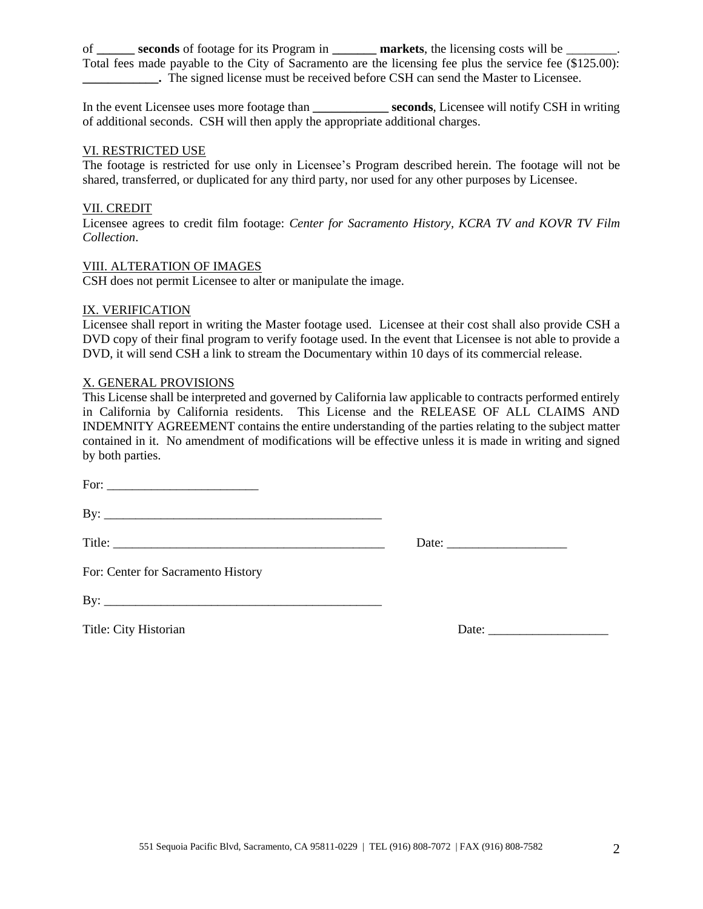of **\_\_\_\_\_\_ seconds** of footage for its Program in **\_\_\_\_\_\_\_ markets**, the licensing costs will be \_\_\_\_\_\_\_\_. Total fees made payable to the City of Sacramento are the licensing fee plus the service fee (\$125.00): **\_\_\_\_\_\_\_\_\_\_\_\_.** The signed license must be received before CSH can send the Master to Licensee.

In the event Licensee uses more footage than **\_\_\_\_\_\_\_\_\_\_\_\_ seconds**, Licensee will notify CSH in writing of additional seconds. CSH will then apply the appropriate additional charges.

#### VI. RESTRICTED USE

The footage is restricted for use only in Licensee's Program described herein. The footage will not be shared, transferred, or duplicated for any third party, nor used for any other purposes by Licensee.

## VII. CREDIT

Licensee agrees to credit film footage: *Center for Sacramento History, KCRA TV and KOVR TV Film Collection*.

#### VIII. ALTERATION OF IMAGES

CSH does not permit Licensee to alter or manipulate the image.

#### IX. VERIFICATION

Licensee shall report in writing the Master footage used. Licensee at their cost shall also provide CSH a DVD copy of their final program to verify footage used. In the event that Licensee is not able to provide a DVD, it will send CSH a link to stream the Documentary within 10 days of its commercial release.

## X. GENERAL PROVISIONS

This License shall be interpreted and governed by California law applicable to contracts performed entirely in California by California residents. This License and the RELEASE OF ALL CLAIMS AND INDEMNITY AGREEMENT contains the entire understanding of the parties relating to the subject matter contained in it. No amendment of modifications will be effective unless it is made in writing and signed by both parties.

For: \_\_\_\_\_\_\_\_\_\_\_\_\_\_\_\_\_\_\_\_\_\_\_\_

 $\mathbf{B} \mathbf{v}$ :

Title: \_\_\_\_\_\_\_\_\_\_\_\_\_\_\_\_\_\_\_\_\_\_\_\_\_\_\_\_\_\_\_\_\_\_\_\_\_\_\_\_\_\_\_ Date: \_\_\_\_\_\_\_\_\_\_\_\_\_\_\_\_\_\_\_

For: Center for Sacramento History

| D<br>B١ |  |  |
|---------|--|--|
|         |  |  |

Title: City Historian Date: